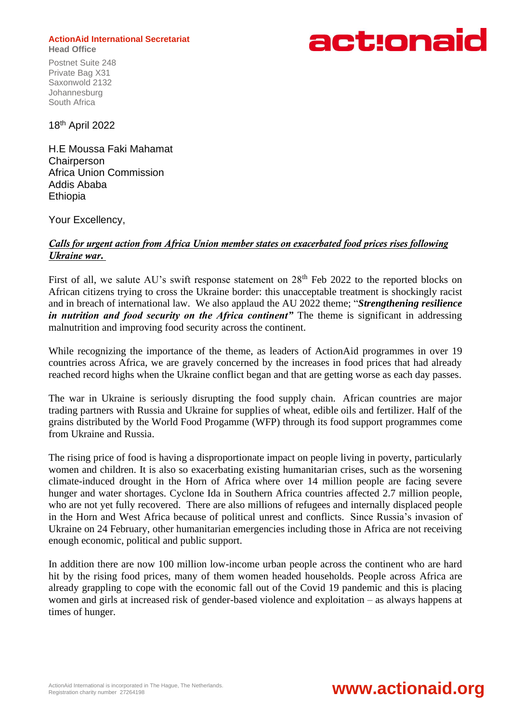## **ActionAid International Secretariat Head Office**

Postnet Suite 248 Private Bag X31 Saxonwold 2132 Johannesburg South Africa



18 th April 2022

H.E Moussa Faki Mahamat **Chairperson** Africa Union Commission Addis Ababa **Ethiopia** 

Your Excellency,

## *Calls for urgent action from Africa Union member states on exacerbated food prices rises following Ukraine war.*

First of all, we salute AU's swift response statement on  $28<sup>th</sup>$  Feb 2022 to the reported blocks on African citizens trying to cross the Ukraine border: this unacceptable treatment is shockingly racist and in breach of international law. We also applaud the AU 2022 theme; "*Strengthening resilience in nutrition and food security on the Africa continent*" The theme is significant in addressing malnutrition and improving food security across the continent.

While recognizing the importance of the theme, as leaders of ActionAid programmes in over 19 countries across Africa, we are gravely concerned by the increases in food prices that had already reached record highs when the Ukraine conflict began and that are getting worse as each day passes.

The war in Ukraine is seriously disrupting the food supply chain. African countries are major trading partners with Russia and Ukraine for supplies of wheat, edible oils and fertilizer. Half of the grains distributed by the World Food Progamme (WFP) through its food support programmes come from Ukraine and Russia.

The rising price of food is having a disproportionate impact on people living in poverty, particularly women and children. It is also so exacerbating existing humanitarian crises, such as the worsening climate-induced drought in the Horn of Africa where over 14 million people are facing severe hunger and water shortages. Cyclone Ida in Southern Africa countries affected 2.7 million people, who are not yet fully recovered. There are also millions of refugees and internally displaced people in the Horn and West Africa because of political unrest and conflicts. Since Russia's invasion of Ukraine on 24 February, other humanitarian emergencies including those in Africa are not receiving enough economic, political and public support.

In addition there are now 100 million low-income urban people across the continent who are hard hit by the rising food prices, many of them women headed households. People across Africa are already grappling to cope with the economic fall out of the Covid 19 pandemic and this is placing women and girls at increased risk of gender-based violence and exploitation – as always happens at times of hunger.

## Registration charity number 27264198 **www.actionaid.org**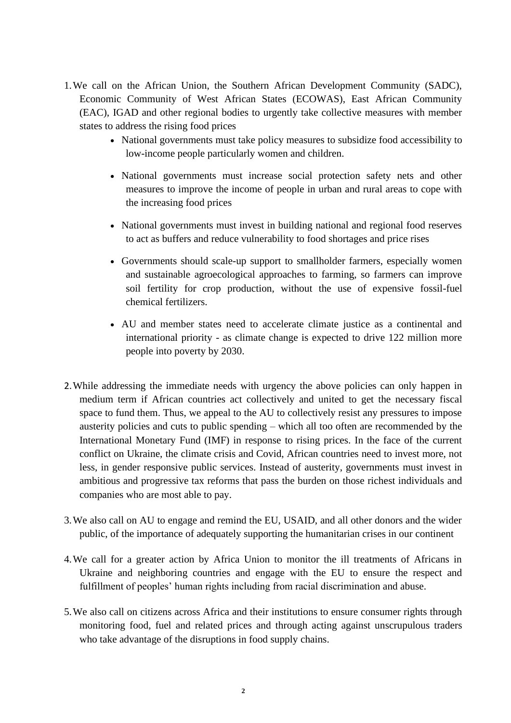- 1.We call on the African Union, the Southern African Development Community (SADC), Economic Community of West African States (ECOWAS), East African Community (EAC), IGAD and other regional bodies to urgently take collective measures with member states to address the rising food prices
	- National governments must take policy measures to subsidize food accessibility to low-income people particularly women and children.
	- National governments must increase social protection safety nets and other measures to improve the income of people in urban and rural areas to cope with the increasing food prices
	- National governments must invest in building national and regional food reserves to act as buffers and reduce vulnerability to food shortages and price rises
	- Governments should scale-up support to smallholder farmers, especially women and sustainable agroecological approaches to farming, so farmers can improve soil fertility for crop production, without the use of expensive fossil-fuel chemical fertilizers.
	- AU and member states need to accelerate climate justice as a continental and international priority - as climate change is expected to drive 122 million more people into poverty by 2030.
- 2.While addressing the immediate needs with urgency the above policies can only happen in medium term if African countries act collectively and united to get the necessary fiscal space to fund them. Thus, we appeal to the AU to collectively resist any pressures to impose austerity policies and cuts to public spending – which all too often are recommended by the International Monetary Fund (IMF) in response to rising prices. In the face of the current conflict on Ukraine, the climate crisis and Covid, African countries need to invest more, not less, in gender responsive public services. Instead of austerity, governments must invest in ambitious and progressive tax reforms that pass the burden on those richest individuals and companies who are most able to pay.
- 3.We also call on AU to engage and remind the EU, USAID, and all other donors and the wider public, of the importance of adequately supporting the humanitarian crises in our continent
- 4.We call for a greater action by Africa Union to monitor the ill treatments of Africans in Ukraine and neighboring countries and engage with the EU to ensure the respect and fulfillment of peoples' human rights including from racial discrimination and abuse.
- 5.We also call on citizens across Africa and their institutions to ensure consumer rights through monitoring food, fuel and related prices and through acting against unscrupulous traders who take advantage of the disruptions in food supply chains.